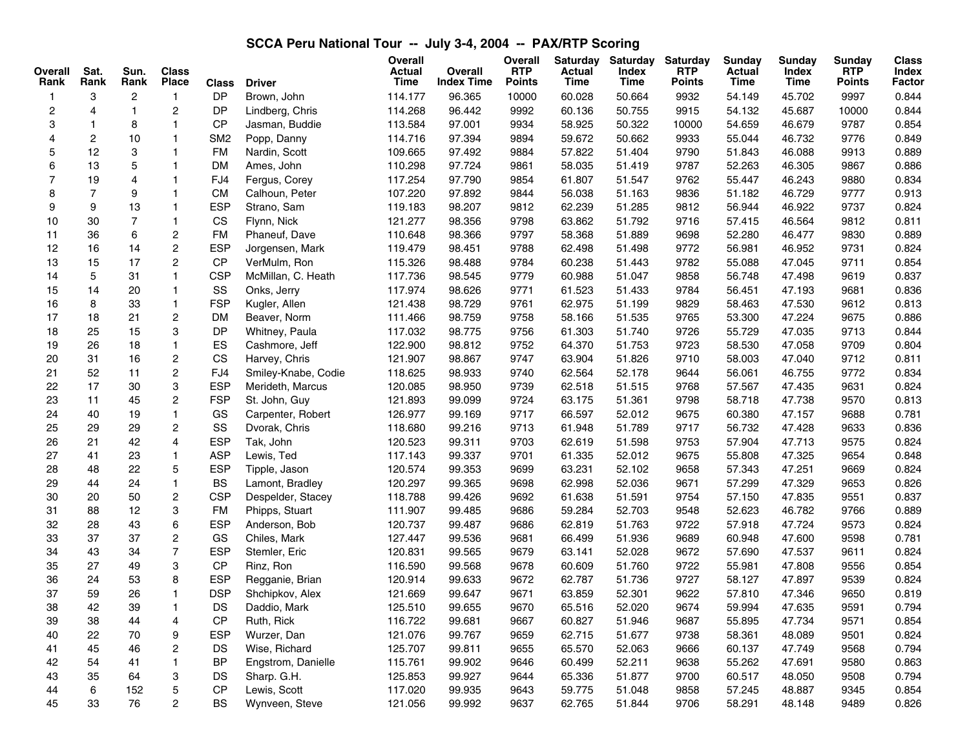## **SCCA Peru National Tour -- July 3-4, 2004 -- PAX/RTP Scoring**

| Overall<br>Rank         | Sat.<br>Rank   | Sun.<br>Rank   | <b>Class</b><br><b>Place</b> | <b>Class</b>    | <b>Driver</b>       | <b>Overall</b><br>Actual<br>Time | Overall<br><b>Index Time</b> | Overall<br><b>RTP</b><br><b>Points</b> | <b>Saturday</b><br><b>Actual</b><br>Time | <b>Saturday</b><br>Index<br>Time | <b>Saturday</b><br><b>RTP</b><br><b>Points</b> | Sunday<br><b>Actual</b><br>Time | <b>Sunday</b><br>Index<br>Time | <b>Sundav</b><br><b>RTP</b><br>Points | <b>Class</b><br>Index<br>Factor |
|-------------------------|----------------|----------------|------------------------------|-----------------|---------------------|----------------------------------|------------------------------|----------------------------------------|------------------------------------------|----------------------------------|------------------------------------------------|---------------------------------|--------------------------------|---------------------------------------|---------------------------------|
| -1                      | 3              | $\overline{c}$ | $\mathbf{1}$                 | <b>DP</b>       | Brown, John         | 114.177                          | 96.365                       | 10000                                  | 60.028                                   | 50.664                           | 9932                                           | 54.149                          | 45.702                         | 9997                                  | 0.844                           |
| $\overline{\mathbf{c}}$ | 4              | $\mathbf{1}$   | $\overline{c}$               | DP              | Lindberg, Chris     | 114.268                          | 96.442                       | 9992                                   | 60.136                                   | 50.755                           | 9915                                           | 54.132                          | 45.687                         | 10000                                 | 0.844                           |
| 3                       | $\mathbf{1}$   | 8              | $\mathbf{1}$                 | CP              | Jasman, Buddie      | 113.584                          | 97.001                       | 9934                                   | 58.925                                   | 50.322                           | 10000                                          | 54.659                          | 46.679                         | 9787                                  | 0.854                           |
| 4                       | $\overline{c}$ | 10             | $\mathbf{1}$                 | SM <sub>2</sub> | Popp, Danny         | 114.716                          | 97.394                       | 9894                                   | 59.672                                   | 50.662                           | 9933                                           | 55.044                          | 46.732                         | 9776                                  | 0.849                           |
| 5                       | 12             | 3              | $\mathbf{1}$                 | <b>FM</b>       | Nardin, Scott       | 109.665                          | 97.492                       | 9884                                   | 57.822                                   | 51.404                           | 9790                                           | 51.843                          | 46.088                         | 9913                                  | 0.889                           |
| 6                       | 13             | 5              | $\mathbf{1}$                 | <b>DM</b>       | Ames, John          | 110.298                          | 97.724                       | 9861                                   | 58.035                                   | 51.419                           | 9787                                           | 52.263                          | 46.305                         | 9867                                  | 0.886                           |
| $\overline{7}$          | 19             | $\overline{4}$ | $\mathbf{1}$                 | FJ4             | Fergus, Corey       | 117.254                          | 97.790                       | 9854                                   | 61.807                                   | 51.547                           | 9762                                           | 55.447                          | 46.243                         | 9880                                  | 0.834                           |
| 8                       | $\overline{7}$ | 9              | $\mathbf{1}$                 | <b>CM</b>       | Calhoun, Peter      | 107.220                          | 97.892                       | 9844                                   | 56.038                                   | 51.163                           | 9836                                           | 51.182                          | 46.729                         | 9777                                  | 0.913                           |
| 9                       | 9              | 13             | $\mathbf{1}$                 | <b>ESP</b>      | Strano, Sam         | 119.183                          | 98.207                       | 9812                                   | 62.239                                   | 51.285                           | 9812                                           | 56.944                          | 46.922                         | 9737                                  | 0.824                           |
| 10                      | 30             | $\overline{7}$ | $\mathbf{1}$                 | CS              | Flynn, Nick         | 121.277                          | 98.356                       | 9798                                   | 63.862                                   | 51.792                           | 9716                                           | 57.415                          | 46.564                         | 9812                                  | 0.811                           |
| 11                      | 36             | 6              | $\boldsymbol{2}$             | <b>FM</b>       | Phaneuf, Dave       | 110.648                          | 98.366                       | 9797                                   | 58.368                                   | 51.889                           | 9698                                           | 52.280                          | 46.477                         | 9830                                  | 0.889                           |
| 12                      | 16             | 14             | $\overline{c}$               | <b>ESP</b>      | Jorgensen, Mark     | 119.479                          | 98.451                       | 9788                                   | 62.498                                   | 51.498                           | 9772                                           | 56.981                          | 46.952                         | 9731                                  | 0.824                           |
| 13                      | 15             | 17             | $\mathbf 2$                  | <b>CP</b>       | VerMulm, Ron        | 115.326                          | 98.488                       | 9784                                   | 60.238                                   | 51.443                           | 9782                                           | 55.088                          | 47.045                         | 9711                                  | 0.854                           |
| 14                      | 5              | 31             | $\mathbf{1}$                 | <b>CSP</b>      | McMillan, C. Heath  | 117.736                          | 98.545                       | 9779                                   | 60.988                                   | 51.047                           | 9858                                           | 56.748                          | 47.498                         | 9619                                  | 0.837                           |
| 15                      | 14             | 20             | $\mathbf{1}$                 | SS              | Onks, Jerry         | 117.974                          | 98.626                       | 9771                                   | 61.523                                   | 51.433                           | 9784                                           | 56.451                          | 47.193                         | 9681                                  | 0.836                           |
| 16                      | 8              | 33             | $\mathbf{1}$                 | <b>FSP</b>      | Kugler, Allen       | 121.438                          | 98.729                       | 9761                                   | 62.975                                   | 51.199                           | 9829                                           | 58.463                          | 47.530                         | 9612                                  | 0.813                           |
| 17                      | 18             | 21             | 2                            | <b>DM</b>       | Beaver, Norm        | 111.466                          | 98.759                       | 9758                                   | 58.166                                   | 51.535                           | 9765                                           | 53.300                          | 47.224                         | 9675                                  | 0.886                           |
| 18                      | 25             | 15             | 3                            | DP              | Whitney, Paula      | 117.032                          | 98.775                       | 9756                                   | 61.303                                   | 51.740                           | 9726                                           | 55.729                          | 47.035                         | 9713                                  | 0.844                           |
| 19                      | 26             | 18             | $\mathbf{1}$                 | ES              | Cashmore, Jeff      | 122.900                          | 98.812                       | 9752                                   | 64.370                                   | 51.753                           | 9723                                           | 58.530                          | 47.058                         | 9709                                  | 0.804                           |
| 20                      | 31             | 16             | $\overline{c}$               | CS              | Harvey, Chris       | 121.907                          | 98.867                       | 9747                                   | 63.904                                   | 51.826                           | 9710                                           | 58.003                          | 47.040                         | 9712                                  | 0.811                           |
| 21                      | 52             | 11             | $\overline{c}$               | FJ4             | Smiley-Knabe, Codie | 118.625                          | 98.933                       | 9740                                   | 62.564                                   | 52.178                           | 9644                                           | 56.061                          | 46.755                         | 9772                                  | 0.834                           |
| 22                      | 17             | 30             | 3                            | <b>ESP</b>      | Merideth, Marcus    | 120.085                          | 98.950                       | 9739                                   | 62.518                                   | 51.515                           | 9768                                           | 57.567                          | 47.435                         | 9631                                  | 0.824                           |
| 23                      | 11             | 45             | $\overline{c}$               | <b>FSP</b>      | St. John, Guy       | 121.893                          | 99.099                       | 9724                                   | 63.175                                   | 51.361                           | 9798                                           | 58.718                          | 47.738                         | 9570                                  | 0.813                           |
| 24                      | 40             | 19             | $\mathbf{1}$                 | GS              | Carpenter, Robert   | 126.977                          | 99.169                       | 9717                                   | 66.597                                   | 52.012                           | 9675                                           | 60.380                          | 47.157                         | 9688                                  | 0.781                           |
| 25                      | 29             | 29             | $\overline{c}$               | SS              | Dvorak, Chris       | 118.680                          | 99.216                       | 9713                                   | 61.948                                   | 51.789                           | 9717                                           | 56.732                          | 47.428                         | 9633                                  | 0.836                           |
| 26                      | 21             | 42             | $\overline{\mathbf{4}}$      | <b>ESP</b>      | Tak, John           | 120.523                          | 99.311                       | 9703                                   | 62.619                                   | 51.598                           | 9753                                           | 57.904                          | 47.713                         | 9575                                  | 0.824                           |
| 27                      | 41             | 23             | $\mathbf{1}$                 | <b>ASP</b>      | Lewis, Ted          | 117.143                          | 99.337                       | 9701                                   | 61.335                                   | 52.012                           | 9675                                           | 55.808                          | 47.325                         | 9654                                  | 0.848                           |
| 28                      | 48             | 22             | 5                            | <b>ESP</b>      | Tipple, Jason       | 120.574                          | 99.353                       | 9699                                   | 63.231                                   | 52.102                           | 9658                                           | 57.343                          | 47.251                         | 9669                                  | 0.824                           |
| 29                      | 44             | 24             | $\mathbf{1}$                 | <b>BS</b>       | Lamont, Bradley     | 120.297                          | 99.365                       | 9698                                   | 62.998                                   | 52.036                           | 9671                                           | 57.299                          | 47.329                         | 9653                                  | 0.826                           |
| 30                      | 20             | 50             | $\boldsymbol{2}$             | <b>CSP</b>      | Despelder, Stacey   | 118.788                          | 99.426                       | 9692                                   | 61.638                                   | 51.591                           | 9754                                           | 57.150                          | 47.835                         | 9551                                  | 0.837                           |
| 31                      | 88             | 12             | 3                            | <b>FM</b>       | Phipps, Stuart      | 111.907                          | 99.485                       | 9686                                   | 59.284                                   | 52.703                           | 9548                                           | 52.623                          | 46.782                         | 9766                                  | 0.889                           |
| 32                      | 28             | 43             | 6                            | <b>ESP</b>      | Anderson, Bob       | 120.737                          | 99.487                       | 9686                                   | 62.819                                   | 51.763                           | 9722                                           | 57.918                          | 47.724                         | 9573                                  | 0.824                           |
| 33                      | 37             | 37             | $\overline{c}$               | GS              | Chiles, Mark        | 127.447                          | 99.536                       | 9681                                   | 66.499                                   | 51.936                           | 9689                                           | 60.948                          | 47.600                         | 9598                                  | 0.781                           |
| 34                      | 43             | 34             | $\overline{7}$               | <b>ESP</b>      | Stemler, Eric       | 120.831                          | 99.565                       | 9679                                   | 63.141                                   | 52.028                           | 9672                                           | 57.690                          | 47.537                         | 9611                                  | 0.824                           |
| 35                      | 27             | 49             | 3                            | CP              | Rinz, Ron           | 116.590                          | 99.568                       | 9678                                   | 60.609                                   | 51.760                           | 9722                                           | 55.981                          | 47.808                         | 9556                                  | 0.854                           |
| 36                      | 24             | 53             | 8                            | <b>ESP</b>      | Regganie, Brian     | 120.914                          | 99.633                       | 9672                                   | 62.787                                   | 51.736                           | 9727                                           | 58.127                          | 47.897                         | 9539                                  | 0.824                           |
| 37                      | 59             | 26             | $\mathbf{1}$                 | <b>DSP</b>      | Shchipkov, Alex     | 121.669                          | 99.647                       | 9671                                   | 63.859                                   | 52.301                           | 9622                                           | 57.810                          | 47.346                         | 9650                                  | 0.819                           |
| 38                      | 42             | 39             | $\mathbf{1}$                 | DS              | Daddio, Mark        | 125.510                          | 99.655                       | 9670                                   | 65.516                                   | 52.020                           | 9674                                           | 59.994                          | 47.635                         | 9591                                  | 0.794                           |
| 39                      | 38             | 44             | 4                            | CP              | Ruth, Rick          | 116.722                          | 99.681                       | 9667                                   | 60.827                                   | 51.946                           | 9687                                           | 55.895                          | 47.734                         | 9571                                  | 0.854                           |
| 40                      | 22             | 70             | 9                            | <b>ESP</b>      | Wurzer, Dan         | 121.076                          | 99.767                       | 9659                                   | 62.715                                   | 51.677                           | 9738                                           | 58.361                          | 48.089                         | 9501                                  | 0.824                           |
| 41                      | 45             | 46             | $\mathbf 2$                  | DS              | Wise, Richard       | 125.707                          | 99.811                       | 9655                                   | 65.570                                   | 52.063                           | 9666                                           | 60.137                          | 47.749                         | 9568                                  | 0.794                           |
| 42                      | 54             | 41             | $\mathbf{1}$                 | <b>BP</b>       | Engstrom, Danielle  | 115.761                          | 99.902                       | 9646                                   | 60.499                                   | 52.211                           | 9638                                           | 55.262                          | 47.691                         | 9580                                  | 0.863                           |
| 43                      | 35             | 64             | 3                            | <b>DS</b>       | Sharp. G.H.         | 125.853                          | 99.927                       | 9644                                   | 65.336                                   | 51.877                           | 9700                                           | 60.517                          | 48.050                         | 9508                                  | 0.794                           |
| $44\,$                  | 6              | 152            | $\mathbf 5$                  | $\mathsf{CP}$   | Lewis, Scott        | 117.020                          | 99.935                       | 9643                                   | 59.775                                   | 51.048                           | 9858                                           | 57.245                          | 48.887                         | 9345                                  | 0.854                           |
| 45                      | 33             | 76             | $\overline{c}$               | <b>BS</b>       | Wynveen, Steve      | 121.056                          | 99.992                       | 9637                                   | 62.765                                   | 51.844                           | 9706                                           | 58.291                          | 48.148                         | 9489                                  | 0.826                           |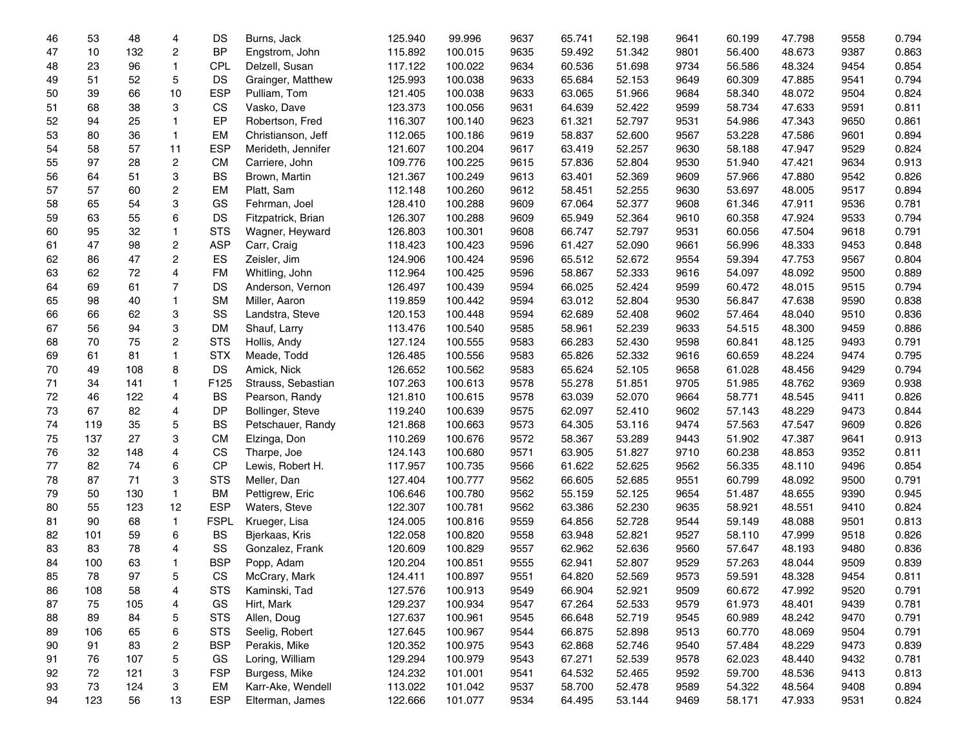| 46 | 53  | 48   | 4                       | DS          | Burns, Jack        | 125.940 | 99.996  | 9637 | 65.741 | 52.198 | 9641 | 60.199 | 47.798 | 9558 | 0.794 |
|----|-----|------|-------------------------|-------------|--------------------|---------|---------|------|--------|--------|------|--------|--------|------|-------|
| 47 | 10  | 132  | 2                       | <b>BP</b>   | Engstrom, John     | 115.892 | 100.015 | 9635 | 59.492 | 51.342 | 9801 | 56.400 | 48.673 | 9387 | 0.863 |
| 48 | 23  | 96   | $\mathbf{1}$            | CPL         | Delzell, Susan     | 117.122 | 100.022 | 9634 | 60.536 | 51.698 | 9734 | 56.586 | 48.324 | 9454 | 0.854 |
| 49 | 51  | 52   | 5                       | DS          | Grainger, Matthew  | 125.993 | 100.038 | 9633 | 65.684 | 52.153 | 9649 | 60.309 | 47.885 | 9541 | 0.794 |
| 50 | 39  | 66   | 10                      | <b>ESP</b>  | Pulliam, Tom       | 121.405 | 100.038 | 9633 | 63.065 | 51.966 | 9684 | 58.340 | 48.072 | 9504 | 0.824 |
| 51 | 68  | 38   | 3                       | CS          | Vasko, Dave        | 123.373 | 100.056 | 9631 | 64.639 | 52.422 | 9599 | 58.734 | 47.633 | 9591 | 0.811 |
| 52 | 94  | 25   | $\mathbf{1}$            | EP          | Robertson, Fred    | 116.307 | 100.140 | 9623 | 61.321 | 52.797 | 9531 | 54.986 | 47.343 | 9650 | 0.861 |
| 53 | 80  | 36   | $\mathbf{1}$            | EM          | Christianson, Jeff | 112.065 | 100.186 | 9619 | 58.837 | 52.600 | 9567 | 53.228 | 47.586 | 9601 | 0.894 |
| 54 | 58  | 57   | 11                      | <b>ESP</b>  | Merideth, Jennifer | 121.607 | 100.204 | 9617 | 63.419 | 52.257 | 9630 | 58.188 | 47.947 | 9529 | 0.824 |
| 55 | 97  | 28   | $\overline{\mathbf{c}}$ | <b>CM</b>   | Carriere, John     | 109.776 | 100.225 | 9615 | 57.836 | 52.804 | 9530 | 51.940 | 47.421 | 9634 | 0.913 |
| 56 | 64  | 51   | 3                       | <b>BS</b>   | Brown, Martin      | 121.367 | 100.249 | 9613 | 63.401 | 52.369 | 9609 | 57.966 | 47.880 | 9542 | 0.826 |
| 57 | 57  | 60   | 2                       | EM          | Platt, Sam         | 112.148 | 100.260 | 9612 | 58.451 | 52.255 | 9630 | 53.697 | 48.005 | 9517 | 0.894 |
| 58 | 65  | 54   | 3                       | GS          | Fehrman, Joel      | 128.410 | 100.288 | 9609 | 67.064 | 52.377 | 9608 | 61.346 | 47.911 | 9536 | 0.781 |
| 59 | 63  | 55   | 6                       | DS          | Fitzpatrick, Brian | 126.307 | 100.288 | 9609 | 65.949 | 52.364 | 9610 | 60.358 | 47.924 | 9533 | 0.794 |
| 60 | 95  | 32   | $\mathbf{1}$            | <b>STS</b>  | Wagner, Heyward    | 126.803 | 100.301 | 9608 | 66.747 | 52.797 | 9531 | 60.056 | 47.504 | 9618 | 0.791 |
| 61 | 47  | 98   | 2                       | <b>ASP</b>  | Carr, Craig        | 118.423 | 100.423 | 9596 | 61.427 | 52.090 | 9661 | 56.996 | 48.333 | 9453 | 0.848 |
| 62 | 86  | 47   | $\overline{c}$          | ES          | Zeisler, Jim       | 124.906 | 100.424 | 9596 | 65.512 | 52.672 | 9554 | 59.394 | 47.753 | 9567 | 0.804 |
| 63 | 62  | 72   | 4                       | <b>FM</b>   | Whitling, John     | 112.964 | 100.425 | 9596 | 58.867 | 52.333 | 9616 | 54.097 | 48.092 | 9500 | 0.889 |
| 64 | 69  | 61   | $\overline{7}$          | DS          | Anderson, Vernon   | 126.497 | 100.439 | 9594 | 66.025 | 52.424 | 9599 | 60.472 | 48.015 | 9515 | 0.794 |
| 65 | 98  | 40   | $\mathbf{1}$            | <b>SM</b>   | Miller, Aaron      | 119.859 | 100.442 | 9594 | 63.012 | 52.804 | 9530 | 56.847 | 47.638 | 9590 | 0.838 |
| 66 | 66  | 62   | 3                       | SS          | Landstra, Steve    | 120.153 | 100.448 | 9594 | 62.689 | 52.408 | 9602 | 57.464 | 48.040 | 9510 | 0.836 |
| 67 | 56  | 94   | 3                       | <b>DM</b>   | Shauf, Larry       | 113.476 | 100.540 | 9585 | 58.961 | 52.239 | 9633 | 54.515 | 48.300 | 9459 | 0.886 |
| 68 | 70  | 75   | $\overline{\mathbf{c}}$ | <b>STS</b>  | Hollis, Andy       | 127.124 | 100.555 | 9583 | 66.283 | 52.430 | 9598 | 60.841 | 48.125 | 9493 | 0.791 |
| 69 | 61  | 81   | $\mathbf{1}$            | <b>STX</b>  | Meade, Todd        | 126.485 | 100.556 | 9583 | 65.826 | 52.332 | 9616 | 60.659 | 48.224 | 9474 | 0.795 |
| 70 | 49  | 108  | 8                       | DS          | Amick, Nick        | 126.652 | 100.562 | 9583 | 65.624 | 52.105 | 9658 | 61.028 | 48.456 | 9429 | 0.794 |
| 71 | 34  | 141  | $\mathbf{1}$            | F125        | Strauss, Sebastian | 107.263 | 100.613 | 9578 | 55.278 | 51.851 | 9705 | 51.985 | 48.762 | 9369 | 0.938 |
| 72 | 46  | 122  | 4                       | <b>BS</b>   | Pearson, Randy     | 121.810 | 100.615 | 9578 | 63.039 | 52.070 | 9664 | 58.771 | 48.545 | 9411 | 0.826 |
| 73 | 67  | 82   | 4                       | DP          | Bollinger, Steve   | 119.240 | 100.639 | 9575 | 62.097 | 52.410 | 9602 | 57.143 | 48.229 | 9473 | 0.844 |
| 74 | 119 | 35   | 5                       | <b>BS</b>   | Petschauer, Randy  | 121.868 | 100.663 | 9573 | 64.305 | 53.116 | 9474 | 57.563 | 47.547 | 9609 | 0.826 |
| 75 | 137 | 27   | 3                       | <b>CM</b>   | Elzinga, Don       | 110.269 | 100.676 | 9572 | 58.367 | 53.289 | 9443 | 51.902 | 47.387 | 9641 | 0.913 |
| 76 | 32  | 148  | 4                       | CS          | Tharpe, Joe        | 124.143 | 100.680 | 9571 | 63.905 | 51.827 | 9710 | 60.238 | 48.853 | 9352 | 0.811 |
| 77 | 82  | 74   | 6                       | <b>CP</b>   | Lewis, Robert H.   | 117.957 | 100.735 | 9566 | 61.622 | 52.625 | 9562 | 56.335 | 48.110 | 9496 | 0.854 |
| 78 | 87  | $71$ | 3                       | <b>STS</b>  | Meller, Dan        | 127.404 | 100.777 | 9562 | 66.605 | 52.685 | 9551 | 60.799 | 48.092 | 9500 | 0.791 |
| 79 | 50  | 130  | $\mathbf{1}$            | <b>BM</b>   | Pettigrew, Eric    | 106.646 | 100.780 | 9562 | 55.159 | 52.125 | 9654 | 51.487 | 48.655 | 9390 | 0.945 |
| 80 | 55  | 123  | 12                      | <b>ESP</b>  | Waters, Steve      | 122.307 | 100.781 | 9562 | 63.386 | 52.230 | 9635 | 58.921 | 48.551 | 9410 | 0.824 |
| 81 | 90  | 68   | $\mathbf{1}$            | <b>FSPL</b> | Krueger, Lisa      | 124.005 | 100.816 | 9559 | 64.856 | 52.728 | 9544 | 59.149 | 48.088 | 9501 | 0.813 |
| 82 | 101 | 59   | 6                       | <b>BS</b>   | Bjerkaas, Kris     | 122.058 | 100.820 | 9558 | 63.948 | 52.821 | 9527 | 58.110 | 47.999 | 9518 | 0.826 |
| 83 | 83  | 78   | 4                       | SS          | Gonzalez, Frank    | 120.609 | 100.829 | 9557 | 62.962 | 52.636 | 9560 | 57.647 | 48.193 | 9480 | 0.836 |
| 84 | 100 | 63   | 1                       | <b>BSP</b>  | Popp, Adam         | 120.204 | 100.851 | 9555 | 62.941 | 52.807 | 9529 | 57.263 | 48.044 | 9509 | 0.839 |
| 85 | 78  | 97   | 5                       | <b>CS</b>   | McCrary, Mark      | 124.411 | 100.897 | 9551 | 64.820 | 52.569 | 9573 | 59.591 | 48.328 | 9454 | 0.811 |
| 86 | 108 | 58   | 4                       | <b>STS</b>  | Kaminski, Tad      | 127.576 | 100.913 | 9549 | 66.904 | 52.921 | 9509 | 60.672 | 47.992 | 9520 | 0.791 |
| 87 | 75  | 105  | 4                       | GS          | Hirt, Mark         | 129.237 | 100.934 | 9547 | 67.264 | 52.533 | 9579 | 61.973 | 48.401 | 9439 | 0.781 |
| 88 | 89  | 84   | 5                       | <b>STS</b>  | Allen, Doug        | 127.637 | 100.961 | 9545 | 66.648 | 52.719 | 9545 | 60.989 | 48.242 | 9470 | 0.791 |
| 89 | 106 | 65   | 6                       | <b>STS</b>  | Seelig, Robert     | 127.645 | 100.967 | 9544 | 66.875 | 52.898 | 9513 | 60.770 | 48.069 | 9504 | 0.791 |
| 90 | 91  | 83   | 2                       | <b>BSP</b>  | Perakis, Mike      | 120.352 | 100.975 | 9543 | 62.868 | 52.746 | 9540 | 57.484 | 48.229 | 9473 | 0.839 |
| 91 | 76  | 107  | 5                       | GS          | Loring, William    | 129.294 | 100.979 | 9543 | 67.271 | 52.539 | 9578 | 62.023 | 48.440 | 9432 | 0.781 |
| 92 | 72  | 121  | 3                       | <b>FSP</b>  | Burgess, Mike      | 124.232 | 101.001 | 9541 | 64.532 | 52.465 | 9592 | 59.700 | 48.536 | 9413 | 0.813 |
| 93 | 73  | 124  | 3                       | EM          | Karr-Ake, Wendell  | 113.022 | 101.042 | 9537 | 58.700 | 52.478 | 9589 | 54.322 | 48.564 | 9408 | 0.894 |
| 94 | 123 | 56   | 13                      | <b>ESP</b>  | Elterman, James    | 122.666 | 101.077 | 9534 | 64.495 | 53.144 | 9469 | 58.171 | 47.933 | 9531 | 0.824 |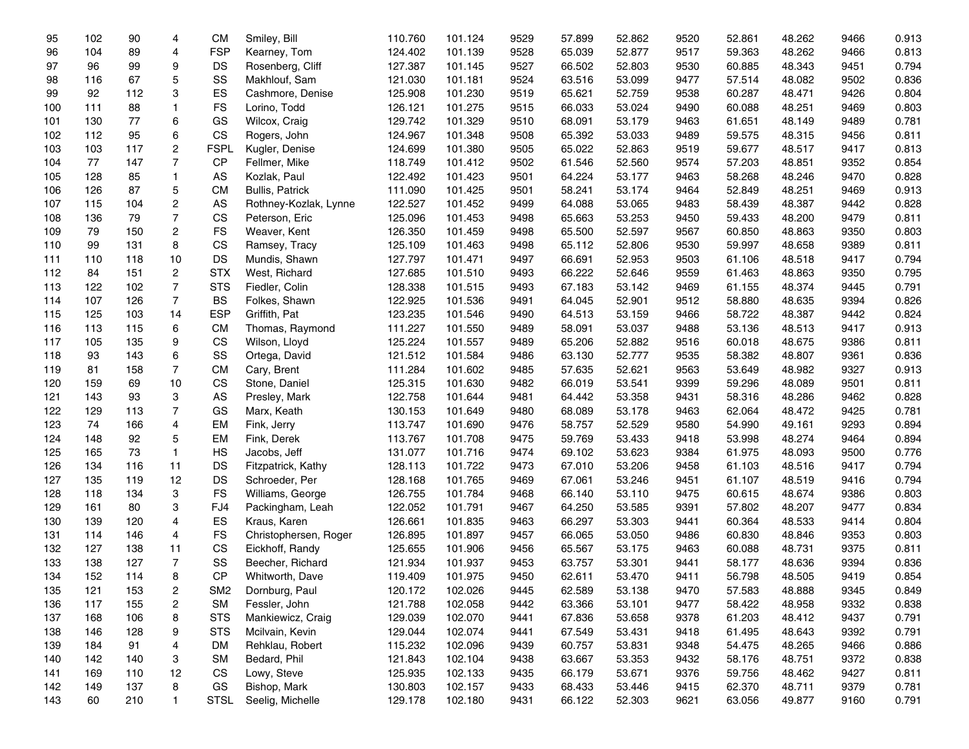| 95  | 102 | 90  | 4                       | <b>CM</b>       | Smiley, Bill           | 110.760 | 101.124 | 9529 | 57.899 | 52.862 | 9520 | 52.861 | 48.262 | 9466 | 0.913 |
|-----|-----|-----|-------------------------|-----------------|------------------------|---------|---------|------|--------|--------|------|--------|--------|------|-------|
| 96  | 104 | 89  | 4                       | <b>FSP</b>      | Kearney, Tom           | 124.402 | 101.139 | 9528 | 65.039 | 52.877 | 9517 | 59.363 | 48.262 | 9466 | 0.813 |
| 97  | 96  | 99  | 9                       | DS              | Rosenberg, Cliff       | 127.387 | 101.145 | 9527 | 66.502 | 52.803 | 9530 | 60.885 | 48.343 | 9451 | 0.794 |
| 98  | 116 | 67  | 5                       | SS              | Makhlouf, Sam          | 121.030 | 101.181 | 9524 | 63.516 | 53.099 | 9477 | 57.514 | 48.082 | 9502 | 0.836 |
| 99  | 92  | 112 | 3                       | ES              | Cashmore, Denise       | 125.908 | 101.230 | 9519 | 65.621 | 52.759 | 9538 | 60.287 | 48.471 | 9426 | 0.804 |
| 100 | 111 | 88  | $\mathbf{1}$            | FS              | Lorino, Todd           | 126.121 | 101.275 | 9515 | 66.033 | 53.024 | 9490 | 60.088 | 48.251 | 9469 | 0.803 |
| 101 | 130 | 77  | 6                       | GS              | Wilcox, Craig          | 129.742 | 101.329 | 9510 | 68.091 | 53.179 | 9463 | 61.651 | 48.149 | 9489 | 0.781 |
| 102 | 112 | 95  | 6                       | CS              | Rogers, John           | 124.967 | 101.348 | 9508 | 65.392 | 53.033 | 9489 | 59.575 | 48.315 | 9456 | 0.811 |
| 103 | 103 | 117 | $\overline{\mathbf{c}}$ | <b>FSPL</b>     | Kugler, Denise         | 124.699 | 101.380 | 9505 | 65.022 | 52.863 | 9519 | 59.677 | 48.517 | 9417 | 0.813 |
| 104 | 77  | 147 | 7                       | CP              | Fellmer, Mike          | 118.749 | 101.412 | 9502 | 61.546 | 52.560 | 9574 | 57.203 | 48.851 | 9352 | 0.854 |
| 105 | 128 | 85  | $\mathbf{1}$            | AS              | Kozlak, Paul           | 122.492 | 101.423 | 9501 | 64.224 | 53.177 | 9463 | 58.268 | 48.246 | 9470 | 0.828 |
| 106 | 126 | 87  | 5                       | <b>CM</b>       | <b>Bullis, Patrick</b> | 111.090 | 101.425 | 9501 | 58.241 | 53.174 | 9464 | 52.849 | 48.251 | 9469 | 0.913 |
| 107 | 115 | 104 | 2                       | AS              | Rothney-Kozlak, Lynne  | 122.527 | 101.452 | 9499 | 64.088 | 53.065 | 9483 | 58.439 | 48.387 | 9442 | 0.828 |
| 108 | 136 | 79  | $\overline{7}$          | CS              | Peterson, Eric         | 125.096 | 101.453 | 9498 | 65.663 | 53.253 | 9450 | 59.433 | 48.200 | 9479 | 0.811 |
| 109 | 79  | 150 | $\overline{\mathbf{c}}$ | <b>FS</b>       | Weaver, Kent           | 126.350 | 101.459 | 9498 | 65.500 | 52.597 | 9567 | 60.850 | 48.863 | 9350 | 0.803 |
| 110 | 99  | 131 | 8                       | CS              | Ramsey, Tracy          | 125.109 | 101.463 | 9498 | 65.112 | 52.806 | 9530 | 59.997 | 48.658 | 9389 | 0.811 |
| 111 | 110 | 118 | 10                      | DS              | Mundis, Shawn          | 127.797 | 101.471 | 9497 | 66.691 | 52.953 | 9503 | 61.106 | 48.518 | 9417 | 0.794 |
| 112 | 84  | 151 | 2                       | <b>STX</b>      | West, Richard          | 127.685 | 101.510 | 9493 | 66.222 | 52.646 | 9559 | 61.463 | 48.863 | 9350 | 0.795 |
| 113 | 122 | 102 | $\overline{7}$          | <b>STS</b>      | Fiedler, Colin         | 128.338 | 101.515 | 9493 | 67.183 | 53.142 | 9469 | 61.155 | 48.374 | 9445 | 0.791 |
| 114 | 107 | 126 | $\overline{7}$          | <b>BS</b>       | Folkes, Shawn          | 122.925 | 101.536 | 9491 | 64.045 | 52.901 | 9512 | 58.880 | 48.635 | 9394 | 0.826 |
| 115 | 125 | 103 | 14                      | <b>ESP</b>      | Griffith, Pat          | 123.235 | 101.546 | 9490 | 64.513 | 53.159 | 9466 | 58.722 | 48.387 | 9442 | 0.824 |
| 116 | 113 | 115 | 6                       | <b>CM</b>       | Thomas, Raymond        | 111.227 | 101.550 | 9489 | 58.091 | 53.037 | 9488 | 53.136 | 48.513 | 9417 | 0.913 |
| 117 | 105 | 135 | 9                       | CS              | Wilson, Lloyd          | 125.224 | 101.557 | 9489 | 65.206 | 52.882 | 9516 | 60.018 | 48.675 | 9386 | 0.811 |
| 118 | 93  | 143 | 6                       | SS              | Ortega, David          | 121.512 | 101.584 | 9486 | 63.130 | 52.777 | 9535 | 58.382 | 48.807 | 9361 | 0.836 |
| 119 | 81  | 158 | $\overline{7}$          | <b>CM</b>       | Cary, Brent            | 111.284 | 101.602 | 9485 | 57.635 | 52.621 | 9563 | 53.649 | 48.982 | 9327 | 0.913 |
| 120 | 159 | 69  | 10                      | <b>CS</b>       | Stone, Daniel          | 125.315 | 101.630 | 9482 | 66.019 | 53.541 | 9399 | 59.296 | 48.089 | 9501 | 0.811 |
| 121 | 143 | 93  | 3                       | AS              | Presley, Mark          | 122.758 | 101.644 | 9481 | 64.442 | 53.358 | 9431 | 58.316 | 48.286 | 9462 | 0.828 |
| 122 | 129 | 113 | $\overline{7}$          | GS              | Marx, Keath            | 130.153 | 101.649 | 9480 | 68.089 | 53.178 | 9463 | 62.064 | 48.472 | 9425 | 0.781 |
| 123 | 74  | 166 | 4                       | <b>EM</b>       | Fink, Jerry            | 113.747 | 101.690 | 9476 | 58.757 | 52.529 | 9580 | 54.990 | 49.161 | 9293 | 0.894 |
| 124 | 148 | 92  | 5                       | EM              | Fink, Derek            | 113.767 | 101.708 | 9475 | 59.769 | 53.433 | 9418 | 53.998 | 48.274 | 9464 | 0.894 |
| 125 | 165 | 73  | $\mathbf{1}$            | HS              | Jacobs, Jeff           | 131.077 | 101.716 | 9474 | 69.102 | 53.623 | 9384 | 61.975 | 48.093 | 9500 | 0.776 |
| 126 | 134 | 116 | 11                      | DS              | Fitzpatrick, Kathy     | 128.113 | 101.722 | 9473 | 67.010 | 53.206 | 9458 | 61.103 | 48.516 | 9417 | 0.794 |
| 127 | 135 | 119 | 12                      | DS              | Schroeder, Per         | 128.168 | 101.765 | 9469 | 67.061 | 53.246 | 9451 | 61.107 | 48.519 | 9416 | 0.794 |
| 128 | 118 | 134 | 3                       | <b>FS</b>       | Williams, George       | 126.755 | 101.784 | 9468 | 66.140 | 53.110 | 9475 | 60.615 | 48.674 | 9386 | 0.803 |
| 129 | 161 | 80  | 3                       | FJ4             | Packingham, Leah       | 122.052 | 101.791 | 9467 | 64.250 | 53.585 | 9391 | 57.802 | 48.207 | 9477 | 0.834 |
| 130 | 139 | 120 | 4                       | ES              | Kraus, Karen           | 126.661 | 101.835 | 9463 | 66.297 | 53.303 | 9441 | 60.364 | 48.533 | 9414 | 0.804 |
| 131 | 114 | 146 | 4                       | FS              | Christophersen, Roger  | 126.895 | 101.897 | 9457 | 66.065 | 53.050 | 9486 | 60.830 | 48.846 | 9353 | 0.803 |
| 132 | 127 | 138 | 11                      | CS              | Eickhoff, Randy        | 125.655 | 101.906 | 9456 | 65.567 | 53.175 | 9463 | 60.088 | 48.731 | 9375 | 0.811 |
| 133 | 138 | 127 | 7                       | SS              | Beecher, Richard       | 121.934 | 101.937 | 9453 | 63.757 | 53.301 | 9441 | 58.177 | 48.636 | 9394 | 0.836 |
| 134 | 152 | 114 | 8                       | <b>CP</b>       | Whitworth, Dave        | 119.409 | 101.975 | 9450 | 62.611 | 53.470 | 9411 | 56.798 | 48.505 | 9419 | 0.854 |
| 135 | 121 | 153 | 2                       | SM <sub>2</sub> | Dornburg, Paul         | 120.172 | 102.026 | 9445 | 62.589 | 53.138 | 9470 | 57.583 | 48.888 | 9345 | 0.849 |
| 136 | 117 | 155 | 2                       | <b>SM</b>       | Fessler, John          | 121.788 | 102.058 | 9442 | 63.366 | 53.101 | 9477 | 58.422 | 48.958 | 9332 | 0.838 |
| 137 | 168 | 106 | 8                       | <b>STS</b>      | Mankiewicz, Craig      | 129.039 | 102.070 | 9441 | 67.836 | 53.658 | 9378 | 61.203 | 48.412 | 9437 | 0.791 |
| 138 | 146 | 128 | 9                       | <b>STS</b>      | Mcilvain, Kevin        | 129.044 | 102.074 | 9441 | 67.549 | 53.431 | 9418 | 61.495 | 48.643 | 9392 | 0.791 |
| 139 | 184 | 91  | 4                       | DM              | Rehklau, Robert        | 115.232 | 102.096 | 9439 | 60.757 | 53.831 | 9348 | 54.475 | 48.265 | 9466 | 0.886 |
| 140 | 142 | 140 | 3                       | <b>SM</b>       | Bedard, Phil           | 121.843 | 102.104 | 9438 | 63.667 | 53.353 | 9432 | 58.176 | 48.751 | 9372 | 0.838 |
| 141 | 169 | 110 | 12                      | CS              | Lowy, Steve            | 125.935 | 102.133 | 9435 | 66.179 | 53.671 | 9376 | 59.756 | 48.462 | 9427 | 0.811 |
| 142 | 149 | 137 | 8                       | GS              | Bishop, Mark           | 130.803 | 102.157 | 9433 | 68.433 | 53.446 | 9415 | 62.370 | 48.711 | 9379 | 0.781 |
| 143 | 60  | 210 | $\mathbf{1}$            | <b>STSL</b>     | Seelig, Michelle       | 129.178 | 102.180 | 9431 | 66.122 | 52.303 | 9621 | 63.056 | 49.877 | 9160 | 0.791 |
|     |     |     |                         |                 |                        |         |         |      |        |        |      |        |        |      |       |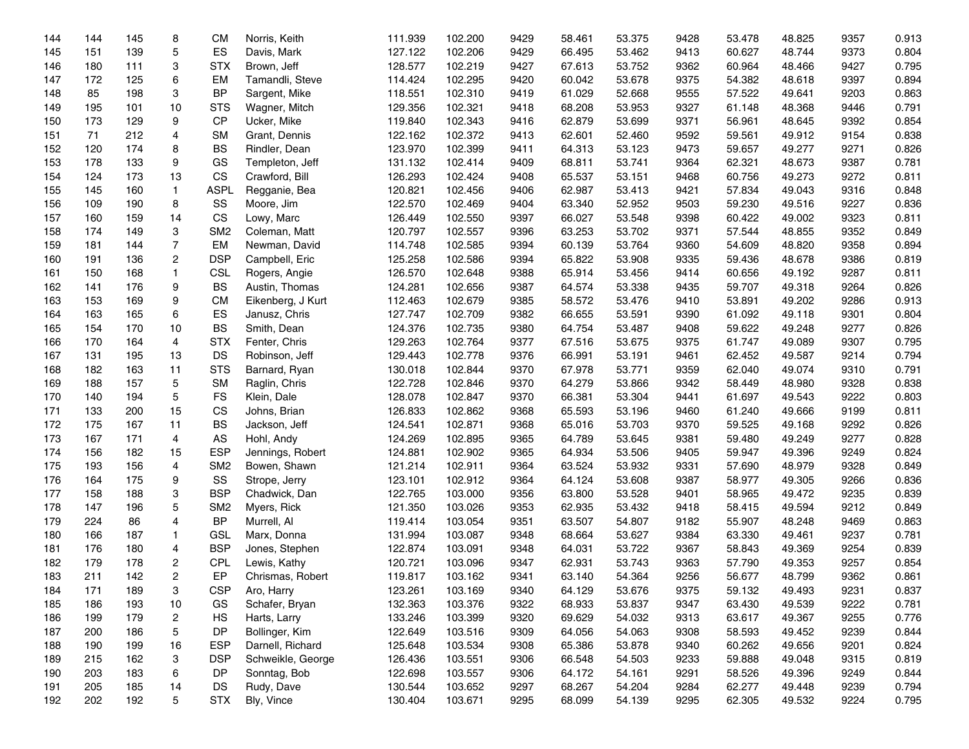| 144 | 144 | 145 | 8                       | <b>CM</b>       | Norris, Keith     | 111.939 | 102.200 | 9429 | 58.461 | 53.375 | 9428 | 53.478 | 48.825 | 9357 | 0.913 |
|-----|-----|-----|-------------------------|-----------------|-------------------|---------|---------|------|--------|--------|------|--------|--------|------|-------|
| 145 | 151 | 139 | 5                       | ES              | Davis, Mark       | 127.122 | 102.206 | 9429 | 66.495 | 53.462 | 9413 | 60.627 | 48.744 | 9373 | 0.804 |
| 146 | 180 | 111 | 3                       | <b>STX</b>      | Brown, Jeff       | 128.577 | 102.219 | 9427 | 67.613 | 53.752 | 9362 | 60.964 | 48.466 | 9427 | 0.795 |
| 147 | 172 | 125 | 6                       | <b>EM</b>       | Tamandli, Steve   | 114.424 | 102.295 | 9420 | 60.042 | 53.678 | 9375 | 54.382 | 48.618 | 9397 | 0.894 |
| 148 | 85  | 198 | 3                       | <b>BP</b>       | Sargent, Mike     | 118.551 | 102.310 | 9419 | 61.029 | 52.668 | 9555 | 57.522 | 49.641 | 9203 | 0.863 |
| 149 | 195 | 101 | 10                      | <b>STS</b>      | Wagner, Mitch     | 129.356 | 102.321 | 9418 | 68.208 | 53.953 | 9327 | 61.148 | 48.368 | 9446 | 0.791 |
| 150 | 173 | 129 | 9                       | CP              | Ucker, Mike       | 119.840 | 102.343 | 9416 | 62.879 | 53.699 | 9371 | 56.961 | 48.645 | 9392 | 0.854 |
| 151 | 71  | 212 | 4                       | <b>SM</b>       | Grant, Dennis     | 122.162 | 102.372 | 9413 | 62.601 | 52.460 | 9592 | 59.561 | 49.912 | 9154 | 0.838 |
| 152 | 120 | 174 | 8                       | <b>BS</b>       | Rindler, Dean     | 123.970 | 102.399 | 9411 | 64.313 | 53.123 | 9473 | 59.657 | 49.277 | 9271 | 0.826 |
| 153 | 178 | 133 | 9                       | GS              | Templeton, Jeff   | 131.132 | 102.414 | 9409 | 68.811 | 53.741 | 9364 | 62.321 | 48.673 | 9387 | 0.781 |
| 154 | 124 | 173 | 13                      | <b>CS</b>       | Crawford, Bill    | 126.293 | 102.424 | 9408 | 65.537 | 53.151 | 9468 | 60.756 | 49.273 | 9272 | 0.811 |
| 155 | 145 | 160 | $\mathbf{1}$            | <b>ASPL</b>     | Regganie, Bea     | 120.821 | 102.456 | 9406 | 62.987 | 53.413 | 9421 | 57.834 | 49.043 | 9316 | 0.848 |
| 156 | 109 | 190 | 8                       | SS              | Moore, Jim        | 122.570 | 102.469 | 9404 | 63.340 | 52.952 | 9503 | 59.230 | 49.516 | 9227 | 0.836 |
| 157 | 160 | 159 | 14                      | CS              | Lowy, Marc        | 126.449 | 102.550 | 9397 | 66.027 | 53.548 | 9398 | 60.422 | 49.002 | 9323 | 0.811 |
| 158 | 174 | 149 | 3                       | SM <sub>2</sub> | Coleman, Matt     | 120.797 | 102.557 | 9396 | 63.253 | 53.702 | 9371 | 57.544 | 48.855 | 9352 | 0.849 |
| 159 | 181 | 144 | $\overline{7}$          | <b>EM</b>       | Newman, David     | 114.748 | 102.585 | 9394 | 60.139 | 53.764 | 9360 | 54.609 | 48.820 | 9358 | 0.894 |
| 160 | 191 | 136 | $\overline{c}$          | <b>DSP</b>      | Campbell, Eric    | 125.258 | 102.586 | 9394 | 65.822 | 53.908 | 9335 | 59.436 | 48.678 | 9386 | 0.819 |
| 161 | 150 | 168 | $\mathbf{1}$            | <b>CSL</b>      | Rogers, Angie     | 126.570 | 102.648 | 9388 | 65.914 | 53.456 | 9414 | 60.656 | 49.192 | 9287 | 0.811 |
| 162 | 141 | 176 | 9                       | <b>BS</b>       | Austin, Thomas    | 124.281 | 102.656 | 9387 | 64.574 | 53.338 | 9435 | 59.707 | 49.318 | 9264 | 0.826 |
| 163 | 153 | 169 | 9                       | <b>CM</b>       | Eikenberg, J Kurt | 112.463 | 102.679 | 9385 | 58.572 | 53.476 | 9410 | 53.891 | 49.202 | 9286 | 0.913 |
| 164 | 163 | 165 | 6                       | ES              | Janusz, Chris     | 127.747 | 102.709 | 9382 | 66.655 | 53.591 | 9390 | 61.092 | 49.118 | 9301 | 0.804 |
| 165 | 154 | 170 | 10                      | <b>BS</b>       | Smith, Dean       | 124.376 | 102.735 | 9380 | 64.754 | 53.487 | 9408 | 59.622 | 49.248 | 9277 | 0.826 |
| 166 | 170 | 164 | 4                       | <b>STX</b>      | Fenter, Chris     | 129.263 | 102.764 | 9377 | 67.516 | 53.675 | 9375 | 61.747 | 49.089 | 9307 | 0.795 |
| 167 | 131 | 195 | 13                      | DS              | Robinson, Jeff    | 129.443 | 102.778 | 9376 | 66.991 | 53.191 | 9461 | 62.452 | 49.587 | 9214 | 0.794 |
| 168 | 182 | 163 | 11                      | <b>STS</b>      | Barnard, Ryan     | 130.018 | 102.844 | 9370 | 67.978 | 53.771 | 9359 | 62.040 | 49.074 | 9310 | 0.791 |
| 169 | 188 | 157 | 5                       | <b>SM</b>       | Raglin, Chris     | 122.728 | 102.846 | 9370 | 64.279 | 53.866 | 9342 | 58.449 | 48.980 | 9328 | 0.838 |
| 170 | 140 | 194 | 5                       | <b>FS</b>       | Klein, Dale       | 128.078 | 102.847 | 9370 | 66.381 | 53.304 | 9441 | 61.697 | 49.543 | 9222 | 0.803 |
| 171 | 133 | 200 | 15                      | CS              | Johns, Brian      | 126.833 | 102.862 | 9368 | 65.593 | 53.196 | 9460 | 61.240 | 49.666 | 9199 | 0.811 |
| 172 | 175 | 167 | 11                      | <b>BS</b>       | Jackson, Jeff     | 124.541 | 102.871 | 9368 | 65.016 | 53.703 | 9370 | 59.525 | 49.168 | 9292 | 0.826 |
| 173 | 167 | 171 | 4                       | AS              | Hohl, Andy        | 124.269 | 102.895 | 9365 | 64.789 | 53.645 | 9381 | 59.480 | 49.249 | 9277 | 0.828 |
| 174 | 156 | 182 | 15                      | <b>ESP</b>      | Jennings, Robert  | 124.881 | 102.902 | 9365 | 64.934 | 53.506 | 9405 | 59.947 | 49.396 | 9249 | 0.824 |
| 175 | 193 | 156 | 4                       | SM <sub>2</sub> | Bowen, Shawn      | 121.214 | 102.911 | 9364 | 63.524 | 53.932 | 9331 | 57.690 | 48.979 | 9328 | 0.849 |
| 176 | 164 | 175 | 9                       | SS              | Strope, Jerry     | 123.101 | 102.912 | 9364 | 64.124 | 53.608 | 9387 | 58.977 | 49.305 | 9266 | 0.836 |
| 177 | 158 | 188 | 3                       | <b>BSP</b>      | Chadwick, Dan     | 122.765 | 103.000 | 9356 | 63.800 | 53.528 | 9401 | 58.965 | 49.472 | 9235 | 0.839 |
| 178 | 147 | 196 | 5                       | SM <sub>2</sub> | Myers, Rick       | 121.350 | 103.026 | 9353 | 62.935 | 53.432 | 9418 | 58.415 | 49.594 | 9212 | 0.849 |
| 179 | 224 | 86  | 4                       | <b>BP</b>       | Murrell, Al       | 119.414 | 103.054 | 9351 | 63.507 | 54.807 | 9182 | 55.907 | 48.248 | 9469 | 0.863 |
| 180 | 166 | 187 | 1                       | GSL             | Marx, Donna       | 131.994 | 103.087 | 9348 | 68.664 | 53.627 | 9384 | 63.330 | 49.461 | 9237 | 0.781 |
| 181 | 176 | 180 | 4                       | <b>BSP</b>      | Jones, Stephen    | 122.874 | 103.091 | 9348 | 64.031 | 53.722 | 9367 | 58.843 | 49.369 | 9254 | 0.839 |
| 182 | 179 | 178 | 2                       | <b>CPL</b>      | Lewis, Kathy      | 120.721 | 103.096 | 9347 | 62.931 | 53.743 | 9363 | 57.790 | 49.353 | 9257 | 0.854 |
| 183 | 211 | 142 | $\overline{2}$          | EP              | Chrismas, Robert  | 119.817 | 103.162 | 9341 | 63.140 | 54.364 | 9256 | 56.677 | 48.799 | 9362 | 0.861 |
| 184 | 171 | 189 | 3                       | <b>CSP</b>      | Aro, Harry        | 123.261 | 103.169 | 9340 | 64.129 | 53.676 | 9375 | 59.132 | 49.493 | 9231 | 0.837 |
| 185 | 186 | 193 | 10                      | GS              | Schafer, Bryan    | 132.363 | 103.376 | 9322 | 68.933 | 53.837 | 9347 | 63.430 | 49.539 | 9222 | 0.781 |
| 186 | 199 | 179 | $\overline{\mathbf{c}}$ | HS              | Harts, Larry      | 133.246 | 103.399 | 9320 | 69.629 | 54.032 | 9313 | 63.617 | 49.367 | 9255 | 0.776 |
| 187 | 200 | 186 | 5                       | DP              | Bollinger, Kim    | 122.649 | 103.516 | 9309 | 64.056 | 54.063 | 9308 | 58.593 | 49.452 | 9239 | 0.844 |
| 188 | 190 | 199 | 16                      | <b>ESP</b>      | Darnell, Richard  | 125.648 | 103.534 | 9308 | 65.386 | 53.878 | 9340 | 60.262 | 49.656 | 9201 | 0.824 |
| 189 | 215 | 162 | 3                       | <b>DSP</b>      | Schweikle, George | 126.436 | 103.551 | 9306 | 66.548 | 54.503 | 9233 | 59.888 | 49.048 | 9315 | 0.819 |
| 190 | 203 | 183 | 6                       | DP              | Sonntag, Bob      | 122.698 | 103.557 | 9306 | 64.172 | 54.161 | 9291 | 58.526 | 49.396 | 9249 | 0.844 |
| 191 | 205 | 185 | 14                      | DS              | Rudy, Dave        | 130.544 | 103.652 | 9297 | 68.267 | 54.204 | 9284 | 62.277 | 49.448 | 9239 | 0.794 |
| 192 | 202 | 192 | 5                       | <b>STX</b>      | Bly, Vince        | 130.404 | 103.671 | 9295 | 68.099 | 54.139 | 9295 | 62.305 | 49.532 | 9224 | 0.795 |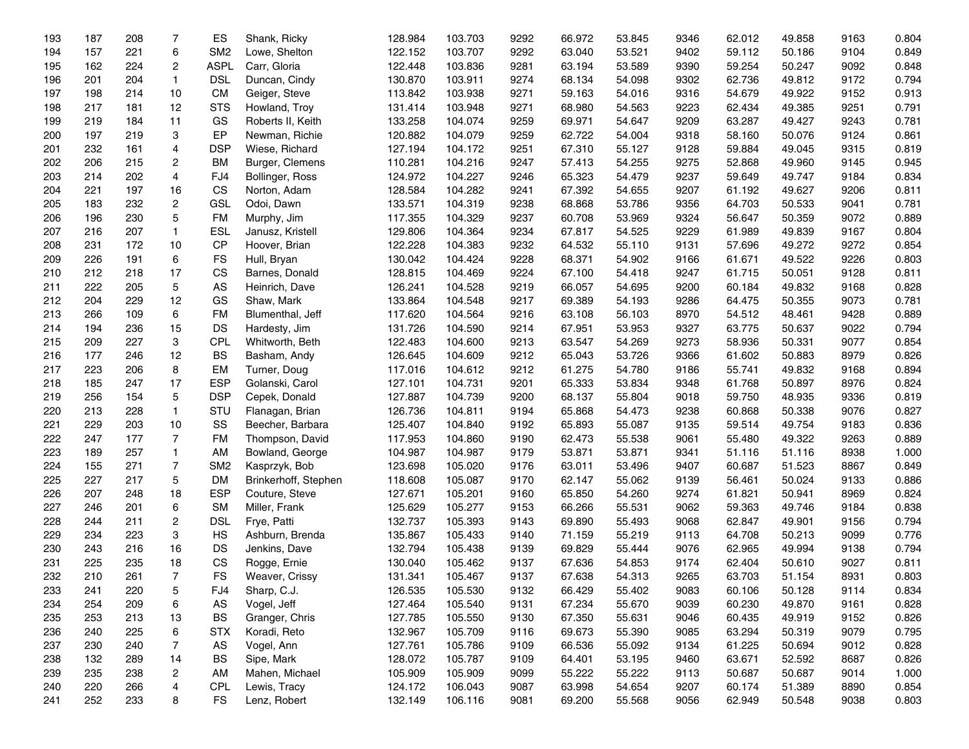| 193 | 187 | 208 | 7              | ES              | Shank, Ricky         | 128.984 | 103.703 | 9292 | 66.972 | 53.845 | 9346 | 62.012 | 49.858 | 9163 | 0.804 |
|-----|-----|-----|----------------|-----------------|----------------------|---------|---------|------|--------|--------|------|--------|--------|------|-------|
| 194 | 157 | 221 | 6              | SM <sub>2</sub> | Lowe, Shelton        | 122.152 | 103.707 | 9292 | 63.040 | 53.521 | 9402 | 59.112 | 50.186 | 9104 | 0.849 |
| 195 | 162 | 224 | $\overline{2}$ | <b>ASPL</b>     | Carr, Gloria         | 122.448 | 103.836 | 9281 | 63.194 | 53.589 | 9390 | 59.254 | 50.247 | 9092 | 0.848 |
| 196 | 201 | 204 | $\mathbf{1}$   | <b>DSL</b>      | Duncan, Cindy        | 130.870 | 103.911 | 9274 | 68.134 | 54.098 | 9302 | 62.736 | 49.812 | 9172 | 0.794 |
| 197 | 198 | 214 | 10             | <b>CM</b>       | Geiger, Steve        | 113.842 | 103.938 | 9271 | 59.163 | 54.016 | 9316 | 54.679 | 49.922 | 9152 | 0.913 |
| 198 | 217 | 181 | 12             | <b>STS</b>      | Howland, Troy        | 131.414 | 103.948 | 9271 | 68.980 | 54.563 | 9223 | 62.434 | 49.385 | 9251 | 0.791 |
| 199 | 219 | 184 | 11             | GS              | Roberts II, Keith    | 133.258 | 104.074 | 9259 | 69.971 | 54.647 | 9209 | 63.287 | 49.427 | 9243 | 0.781 |
| 200 | 197 | 219 | 3              | EP              | Newman, Richie       | 120.882 | 104.079 | 9259 | 62.722 | 54.004 | 9318 | 58.160 | 50.076 | 9124 | 0.861 |
| 201 | 232 | 161 | 4              | <b>DSP</b>      | Wiese, Richard       | 127.194 | 104.172 | 9251 | 67.310 | 55.127 | 9128 | 59.884 | 49.045 | 9315 | 0.819 |
| 202 | 206 | 215 | $\overline{2}$ | <b>BM</b>       | Burger, Clemens      | 110.281 | 104.216 | 9247 | 57.413 | 54.255 | 9275 | 52.868 | 49.960 | 9145 | 0.945 |
| 203 | 214 | 202 | 4              | FJ4             | Bollinger, Ross      | 124.972 | 104.227 | 9246 | 65.323 | 54.479 | 9237 | 59.649 | 49.747 | 9184 | 0.834 |
| 204 | 221 | 197 | 16             | CS              | Norton, Adam         | 128.584 | 104.282 | 9241 | 67.392 | 54.655 | 9207 | 61.192 | 49.627 | 9206 | 0.811 |
| 205 | 183 | 232 | $\overline{2}$ | GSL             | Odoi, Dawn           | 133.571 | 104.319 | 9238 | 68.868 | 53.786 | 9356 | 64.703 | 50.533 | 9041 | 0.781 |
| 206 | 196 | 230 | 5              | <b>FM</b>       | Murphy, Jim          | 117.355 | 104.329 | 9237 | 60.708 | 53.969 | 9324 | 56.647 | 50.359 | 9072 | 0.889 |
| 207 | 216 | 207 | $\mathbf{1}$   | <b>ESL</b>      | Janusz, Kristell     | 129.806 | 104.364 | 9234 | 67.817 | 54.525 | 9229 | 61.989 | 49.839 | 9167 | 0.804 |
| 208 | 231 | 172 | 10             | CP              | Hoover, Brian        | 122.228 | 104.383 | 9232 | 64.532 | 55.110 | 9131 | 57.696 | 49.272 | 9272 | 0.854 |
| 209 | 226 | 191 | 6              | <b>FS</b>       | Hull, Bryan          | 130.042 | 104.424 | 9228 | 68.371 | 54.902 | 9166 | 61.671 | 49.522 | 9226 | 0.803 |
| 210 | 212 | 218 | 17             | <b>CS</b>       | Barnes, Donald       | 128.815 | 104.469 | 9224 | 67.100 | 54.418 | 9247 | 61.715 | 50.051 | 9128 | 0.811 |
| 211 | 222 | 205 | 5              | AS              | Heinrich, Dave       | 126.241 | 104.528 | 9219 | 66.057 | 54.695 | 9200 | 60.184 | 49.832 | 9168 | 0.828 |
| 212 | 204 | 229 | 12             | GS              | Shaw, Mark           | 133.864 | 104.548 | 9217 | 69.389 | 54.193 | 9286 | 64.475 | 50.355 | 9073 | 0.781 |
| 213 | 266 | 109 | 6              | <b>FM</b>       | Blumenthal, Jeff     | 117.620 | 104.564 | 9216 | 63.108 | 56.103 | 8970 | 54.512 | 48.461 | 9428 | 0.889 |
| 214 | 194 | 236 | 15             | DS              | Hardesty, Jim        | 131.726 | 104.590 | 9214 | 67.951 | 53.953 | 9327 | 63.775 | 50.637 | 9022 | 0.794 |
| 215 | 209 | 227 | 3              | CPL             | Whitworth, Beth      | 122.483 | 104.600 | 9213 | 63.547 | 54.269 | 9273 | 58.936 | 50.331 | 9077 | 0.854 |
| 216 | 177 | 246 | 12             | <b>BS</b>       | Basham, Andy         | 126.645 | 104.609 | 9212 | 65.043 | 53.726 | 9366 | 61.602 | 50.883 | 8979 | 0.826 |
| 217 | 223 | 206 | 8              | EM              | Turner, Doug         | 117.016 | 104.612 | 9212 | 61.275 | 54.780 | 9186 | 55.741 | 49.832 | 9168 | 0.894 |
| 218 | 185 | 247 | 17             | <b>ESP</b>      | Golanski, Carol      | 127.101 | 104.731 | 9201 | 65.333 | 53.834 | 9348 | 61.768 | 50.897 | 8976 | 0.824 |
| 219 | 256 | 154 | 5              | <b>DSP</b>      | Cepek, Donald        | 127.887 | 104.739 | 9200 | 68.137 | 55.804 | 9018 | 59.750 | 48.935 | 9336 | 0.819 |
| 220 | 213 | 228 | $\mathbf{1}$   | STU             | Flanagan, Brian      | 126.736 | 104.811 | 9194 | 65.868 | 54.473 | 9238 | 60.868 | 50.338 | 9076 | 0.827 |
| 221 | 229 | 203 | 10             | SS              | Beecher, Barbara     | 125.407 | 104.840 | 9192 | 65.893 | 55.087 | 9135 | 59.514 | 49.754 | 9183 | 0.836 |
| 222 | 247 | 177 | $\overline{7}$ | <b>FM</b>       | Thompson, David      | 117.953 | 104.860 | 9190 | 62.473 | 55.538 | 9061 | 55.480 | 49.322 | 9263 | 0.889 |
| 223 | 189 | 257 | 1              | AM              | Bowland, George      | 104.987 | 104.987 | 9179 | 53.871 | 53.871 | 9341 | 51.116 | 51.116 | 8938 | 1.000 |
| 224 | 155 | 271 | $\overline{7}$ | SM <sub>2</sub> | Kasprzyk, Bob        | 123.698 | 105.020 | 9176 | 63.011 | 53.496 | 9407 | 60.687 | 51.523 | 8867 | 0.849 |
| 225 | 227 | 217 | 5              | <b>DM</b>       | Brinkerhoff, Stephen | 118.608 | 105.087 | 9170 | 62.147 | 55.062 | 9139 | 56.461 | 50.024 | 9133 | 0.886 |
| 226 | 207 | 248 | 18             | <b>ESP</b>      | Couture, Steve       | 127.671 | 105.201 | 9160 | 65.850 | 54.260 | 9274 | 61.821 | 50.941 | 8969 | 0.824 |
| 227 | 246 | 201 | 6              | <b>SM</b>       | Miller, Frank        | 125.629 | 105.277 | 9153 | 66.266 | 55.531 | 9062 | 59.363 | 49.746 | 9184 | 0.838 |
| 228 | 244 | 211 | $\overline{2}$ | <b>DSL</b>      | Frye, Patti          | 132.737 | 105.393 | 9143 | 69.890 | 55.493 | 9068 | 62.847 | 49.901 | 9156 | 0.794 |
| 229 | 234 | 223 | 3              | HS              | Ashburn, Brenda      | 135.867 | 105.433 | 9140 | 71.159 | 55.219 | 9113 | 64.708 | 50.213 | 9099 | 0.776 |
| 230 | 243 | 216 | 16             | DS              | Jenkins, Dave        | 132.794 | 105.438 | 9139 | 69.829 | 55.444 | 9076 | 62.965 | 49.994 | 9138 | 0.794 |
| 231 | 225 | 235 | 18             | CS              | Rogge, Ernie         | 130.040 | 105.462 | 9137 | 67.636 | 54.853 | 9174 | 62.404 | 50.610 | 9027 | 0.811 |
| 232 | 210 | 261 | $\overline{7}$ | <b>FS</b>       | Weaver, Crissy       | 131.341 | 105.467 | 9137 | 67.638 | 54.313 | 9265 | 63.703 | 51.154 | 8931 | 0.803 |
| 233 | 241 | 220 | 5              | FJ4             | Sharp, C.J.          | 126.535 | 105.530 | 9132 | 66.429 | 55.402 | 9083 | 60.106 | 50.128 | 9114 | 0.834 |
| 234 | 254 | 209 | 6              | AS              | Vogel, Jeff          | 127.464 | 105.540 | 9131 | 67.234 | 55.670 | 9039 | 60.230 | 49.870 | 9161 | 0.828 |
| 235 | 253 | 213 | 13             | <b>BS</b>       | Granger, Chris       | 127.785 | 105.550 | 9130 | 67.350 | 55.631 | 9046 | 60.435 | 49.919 | 9152 | 0.826 |
| 236 | 240 | 225 | 6              | <b>STX</b>      | Koradi, Reto         | 132.967 | 105.709 | 9116 | 69.673 | 55.390 | 9085 | 63.294 | 50.319 | 9079 | 0.795 |
| 237 | 230 | 240 | 7              | AS              | Vogel, Ann           | 127.761 | 105.786 | 9109 | 66.536 | 55.092 | 9134 | 61.225 | 50.694 | 9012 | 0.828 |
| 238 | 132 | 289 | 14             | <b>BS</b>       | Sipe, Mark           | 128.072 | 105.787 | 9109 | 64.401 | 53.195 | 9460 | 63.671 | 52.592 | 8687 | 0.826 |
| 239 | 235 | 238 | 2              | AM              | Mahen, Michael       | 105.909 | 105.909 | 9099 | 55.222 | 55.222 | 9113 | 50.687 | 50.687 | 9014 | 1.000 |
| 240 | 220 | 266 | 4              | <b>CPL</b>      | Lewis, Tracy         | 124.172 | 106.043 | 9087 | 63.998 | 54.654 | 9207 | 60.174 | 51.389 | 8890 | 0.854 |
| 241 | 252 | 233 | 8              | FS              | Lenz, Robert         | 132.149 | 106.116 | 9081 | 69.200 | 55.568 | 9056 | 62.949 | 50.548 | 9038 | 0.803 |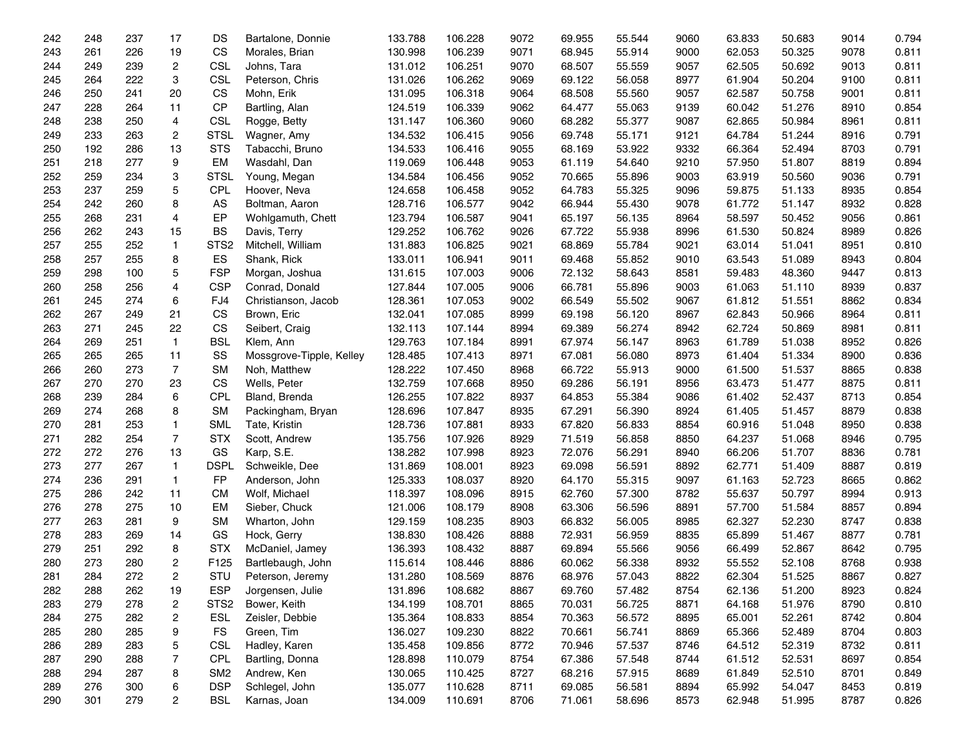| 242 | 248 | 237 | 17                      | DS               | Bartalone, Donnie        | 133.788 | 106.228 | 9072 | 69.955 | 55.544 | 9060 | 63.833 | 50.683 | 9014 | 0.794 |
|-----|-----|-----|-------------------------|------------------|--------------------------|---------|---------|------|--------|--------|------|--------|--------|------|-------|
| 243 | 261 | 226 | 19                      | CS               | Morales, Brian           | 130.998 | 106.239 | 9071 | 68.945 | 55.914 | 9000 | 62.053 | 50.325 | 9078 | 0.811 |
| 244 | 249 | 239 | $\overline{c}$          | <b>CSL</b>       | Johns, Tara              | 131.012 | 106.251 | 9070 | 68.507 | 55.559 | 9057 | 62.505 | 50.692 | 9013 | 0.811 |
| 245 | 264 | 222 | 3                       | <b>CSL</b>       | Peterson, Chris          | 131.026 | 106.262 | 9069 | 69.122 | 56.058 | 8977 | 61.904 | 50.204 | 9100 | 0.811 |
| 246 | 250 | 241 | 20                      | CS               | Mohn, Erik               | 131.095 | 106.318 | 9064 | 68.508 | 55.560 | 9057 | 62.587 | 50.758 | 9001 | 0.811 |
| 247 | 228 | 264 | 11                      | CP               | Bartling, Alan           | 124.519 | 106.339 | 9062 | 64.477 | 55.063 | 9139 | 60.042 | 51.276 | 8910 | 0.854 |
| 248 | 238 | 250 | 4                       | <b>CSL</b>       | Rogge, Betty             | 131.147 | 106.360 | 9060 | 68.282 | 55.377 | 9087 | 62.865 | 50.984 | 8961 | 0.811 |
| 249 | 233 | 263 | $\overline{c}$          | <b>STSL</b>      | Wagner, Amy              | 134.532 | 106.415 | 9056 | 69.748 | 55.171 | 9121 | 64.784 | 51.244 | 8916 | 0.791 |
| 250 | 192 | 286 | 13                      | <b>STS</b>       | Tabacchi, Bruno          | 134.533 | 106.416 | 9055 | 68.169 | 53.922 | 9332 | 66.364 | 52.494 | 8703 | 0.791 |
| 251 | 218 | 277 | 9                       | EM               | Wasdahl, Dan             | 119.069 | 106.448 | 9053 | 61.119 | 54.640 | 9210 | 57.950 | 51.807 | 8819 | 0.894 |
| 252 | 259 | 234 | 3                       | <b>STSL</b>      | Young, Megan             | 134.584 | 106.456 | 9052 | 70.665 | 55.896 | 9003 | 63.919 | 50.560 | 9036 | 0.791 |
| 253 | 237 | 259 | 5                       | <b>CPL</b>       | Hoover, Neva             | 124.658 | 106.458 | 9052 | 64.783 | 55.325 | 9096 | 59.875 | 51.133 | 8935 | 0.854 |
| 254 | 242 | 260 | 8                       | AS               | Boltman, Aaron           | 128.716 | 106.577 | 9042 | 66.944 | 55.430 | 9078 | 61.772 | 51.147 | 8932 | 0.828 |
| 255 | 268 | 231 | 4                       | EP               | Wohlgamuth, Chett        | 123.794 | 106.587 | 9041 | 65.197 | 56.135 | 8964 | 58.597 | 50.452 | 9056 | 0.861 |
| 256 | 262 | 243 | 15                      | <b>BS</b>        | Davis, Terry             | 129.252 | 106.762 | 9026 | 67.722 | 55.938 | 8996 | 61.530 | 50.824 | 8989 | 0.826 |
| 257 | 255 | 252 | $\mathbf{1}$            | STS <sub>2</sub> | Mitchell, William        | 131.883 | 106.825 | 9021 | 68.869 | 55.784 | 9021 | 63.014 | 51.041 | 8951 | 0.810 |
| 258 | 257 | 255 | 8                       | ES               | Shank, Rick              | 133.011 | 106.941 | 9011 | 69.468 | 55.852 | 9010 | 63.543 | 51.089 | 8943 | 0.804 |
| 259 | 298 | 100 | 5                       | <b>FSP</b>       | Morgan, Joshua           | 131.615 | 107.003 | 9006 | 72.132 | 58.643 | 8581 | 59.483 | 48.360 | 9447 | 0.813 |
| 260 | 258 | 256 | 4                       | <b>CSP</b>       | Conrad, Donald           | 127.844 | 107.005 | 9006 | 66.781 | 55.896 | 9003 | 61.063 | 51.110 | 8939 | 0.837 |
| 261 | 245 | 274 | 6                       | FJ4              | Christianson, Jacob      | 128.361 | 107.053 | 9002 | 66.549 | 55.502 | 9067 | 61.812 | 51.551 | 8862 | 0.834 |
| 262 | 267 | 249 | 21                      | CS               | Brown, Eric              | 132.041 | 107.085 | 8999 | 69.198 | 56.120 | 8967 | 62.843 | 50.966 | 8964 | 0.811 |
| 263 | 271 | 245 | 22                      | CS               | Seibert, Craig           | 132.113 | 107.144 | 8994 | 69.389 | 56.274 | 8942 | 62.724 | 50.869 | 8981 | 0.811 |
| 264 | 269 | 251 | $\mathbf{1}$            | <b>BSL</b>       | Klem, Ann                | 129.763 | 107.184 | 8991 | 67.974 | 56.147 | 8963 | 61.789 | 51.038 | 8952 | 0.826 |
| 265 | 265 | 265 | 11                      | SS               | Mossgrove-Tipple, Kelley | 128.485 | 107.413 | 8971 | 67.081 | 56.080 | 8973 | 61.404 | 51.334 | 8900 | 0.836 |
| 266 | 260 | 273 | $\overline{7}$          | <b>SM</b>        | Noh, Matthew             | 128.222 | 107.450 | 8968 | 66.722 | 55.913 | 9000 | 61.500 | 51.537 | 8865 | 0.838 |
| 267 | 270 | 270 | 23                      | CS               | Wells, Peter             | 132.759 | 107.668 | 8950 | 69.286 | 56.191 | 8956 | 63.473 | 51.477 | 8875 | 0.811 |
| 268 | 239 | 284 | 6                       | <b>CPL</b>       | Bland, Brenda            | 126.255 | 107.822 | 8937 | 64.853 | 55.384 | 9086 | 61.402 | 52.437 | 8713 | 0.854 |
| 269 | 274 | 268 | 8                       | <b>SM</b>        | Packingham, Bryan        | 128.696 | 107.847 | 8935 | 67.291 | 56.390 | 8924 | 61.405 | 51.457 | 8879 | 0.838 |
| 270 | 281 | 253 | $\mathbf{1}$            | <b>SML</b>       | Tate, Kristin            | 128.736 | 107.881 | 8933 | 67.820 | 56.833 | 8854 | 60.916 | 51.048 | 8950 | 0.838 |
| 271 | 282 | 254 | $\overline{7}$          | <b>STX</b>       | Scott, Andrew            | 135.756 | 107.926 | 8929 | 71.519 | 56.858 | 8850 | 64.237 | 51.068 | 8946 | 0.795 |
| 272 | 272 | 276 | 13                      | GS               | Karp, S.E.               | 138.282 | 107.998 | 8923 | 72.076 | 56.291 | 8940 | 66.206 | 51.707 | 8836 | 0.781 |
| 273 | 277 | 267 | $\mathbf{1}$            | <b>DSPL</b>      | Schweikle, Dee           | 131.869 | 108.001 | 8923 | 69.098 | 56.591 | 8892 | 62.771 | 51.409 | 8887 | 0.819 |
| 274 | 236 | 291 | $\mathbf{1}$            | FP               | Anderson, John           | 125.333 | 108.037 | 8920 | 64.170 | 55.315 | 9097 | 61.163 | 52.723 | 8665 | 0.862 |
| 275 | 286 | 242 | 11                      | <b>CM</b>        | Wolf, Michael            | 118.397 | 108.096 | 8915 | 62.760 | 57.300 | 8782 | 55.637 | 50.797 | 8994 | 0.913 |
| 276 | 278 | 275 | 10                      | EM               | Sieber, Chuck            | 121.006 | 108.179 | 8908 | 63.306 | 56.596 | 8891 | 57.700 | 51.584 | 8857 | 0.894 |
| 277 | 263 | 281 | 9                       | <b>SM</b>        | Wharton, John            | 129.159 | 108.235 | 8903 | 66.832 | 56.005 | 8985 | 62.327 | 52.230 | 8747 | 0.838 |
| 278 | 283 | 269 | 14                      | GS               | Hock, Gerry              | 138.830 | 108.426 | 8888 | 72.931 | 56.959 | 8835 | 65.899 | 51.467 | 8877 | 0.781 |
| 279 | 251 | 292 | 8                       | <b>STX</b>       | McDaniel, Jamey          | 136.393 | 108.432 | 8887 | 69.894 | 55.566 | 9056 | 66.499 | 52.867 | 8642 | 0.795 |
| 280 | 273 | 280 | $\overline{2}$          | F125             | Bartlebaugh, John        | 115.614 | 108.446 | 8886 | 60.062 | 56.338 | 8932 | 55.552 | 52.108 | 8768 | 0.938 |
| 281 | 284 | 272 | $\overline{2}$          | STU              | Peterson, Jeremy         | 131.280 | 108.569 | 8876 | 68.976 | 57.043 | 8822 | 62.304 | 51.525 | 8867 | 0.827 |
| 282 | 288 | 262 | 19                      | <b>ESP</b>       | Jorgensen, Julie         | 131.896 | 108.682 | 8867 | 69.760 | 57.482 | 8754 | 62.136 | 51.200 | 8923 | 0.824 |
| 283 | 279 | 278 | $\overline{c}$          | STS <sub>2</sub> | Bower, Keith             | 134.199 | 108.701 | 8865 | 70.031 | 56.725 | 8871 | 64.168 | 51.976 | 8790 | 0.810 |
| 284 | 275 | 282 | $\overline{\mathbf{c}}$ | <b>ESL</b>       | Zeisler, Debbie          | 135.364 | 108.833 | 8854 | 70.363 | 56.572 | 8895 | 65.001 | 52.261 | 8742 | 0.804 |
| 285 | 280 | 285 | 9                       | <b>FS</b>        | Green, Tim               | 136.027 | 109.230 | 8822 | 70.661 | 56.741 | 8869 | 65.366 | 52.489 | 8704 | 0.803 |
| 286 | 289 | 283 | 5                       | <b>CSL</b>       | Hadley, Karen            | 135.458 | 109.856 | 8772 | 70.946 | 57.537 | 8746 | 64.512 | 52.319 | 8732 | 0.811 |
| 287 | 290 | 288 | 7                       | <b>CPL</b>       | Bartling, Donna          | 128.898 | 110.079 | 8754 | 67.386 | 57.548 | 8744 | 61.512 | 52.531 | 8697 | 0.854 |
| 288 | 294 | 287 | 8                       | SM <sub>2</sub>  | Andrew, Ken              | 130.065 | 110.425 | 8727 | 68.216 | 57.915 | 8689 | 61.849 | 52.510 | 8701 | 0.849 |
| 289 | 276 | 300 | 6                       | <b>DSP</b>       | Schlegel, John           | 135.077 | 110.628 | 8711 | 69.085 | 56.581 | 8894 | 65.992 | 54.047 | 8453 | 0.819 |
| 290 | 301 | 279 | $\overline{c}$          | <b>BSL</b>       | Karnas, Joan             | 134.009 | 110.691 | 8706 | 71.061 | 58.696 | 8573 | 62.948 | 51.995 | 8787 | 0.826 |